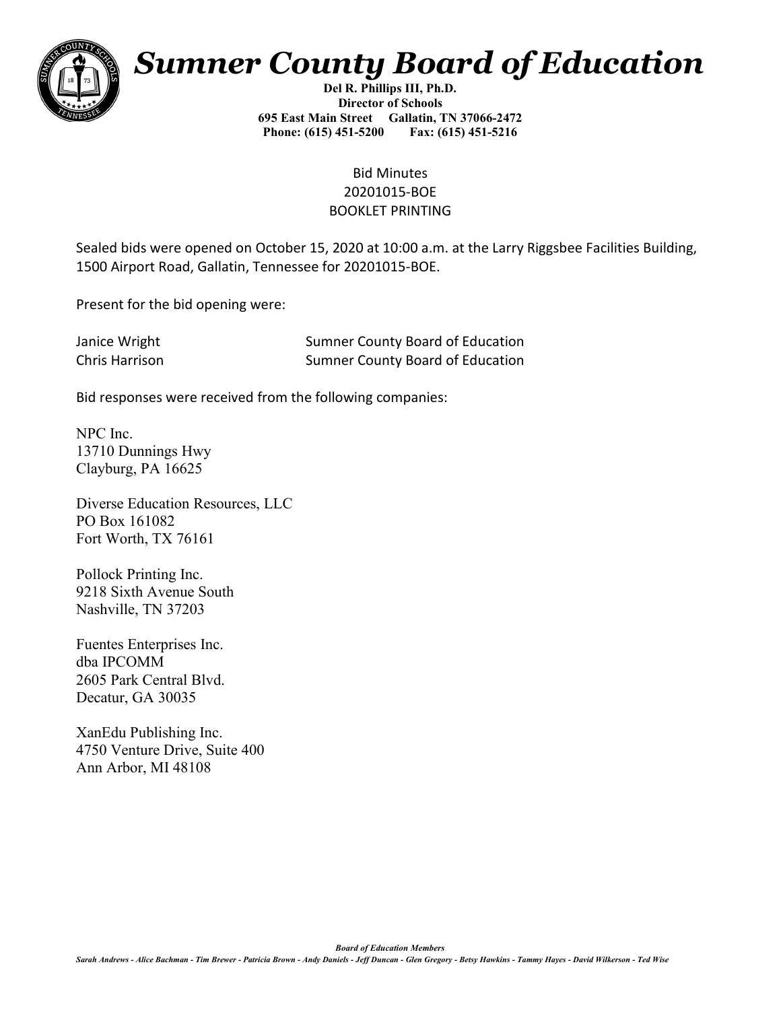

## *Sumner County Board of Education*

**Del R. Phillips III, Ph.D. Director of Schools 695 East Main Street Gallatin, TN 37066-2472 Phone: (615) 451-5200 Fax: (615) 451-5216** 

## Bid Minutes 20201015-BOE BOOKLET PRINTING

Sealed bids were opened on October 15, 2020 at 10:00 a.m. at the Larry Riggsbee Facilities Building, 1500 Airport Road, Gallatin, Tennessee for 20201015-BOE.

Present for the bid opening were:

| Janice Wright  | <b>Sumner County Board of Education</b> |
|----------------|-----------------------------------------|
| Chris Harrison | Sumner County Board of Education        |

Bid responses were received from the following companies:

NPC Inc. 13710 Dunnings Hwy Clayburg, PA 16625

Diverse Education Resources, LLC PO Box 161082 Fort Worth, TX 76161

Pollock Printing Inc. 9218 Sixth Avenue South Nashville, TN 37203

Fuentes Enterprises Inc. dba IPCOMM 2605 Park Central Blvd. Decatur, GA 30035

XanEdu Publishing Inc. 4750 Venture Drive, Suite 400 Ann Arbor, MI 48108